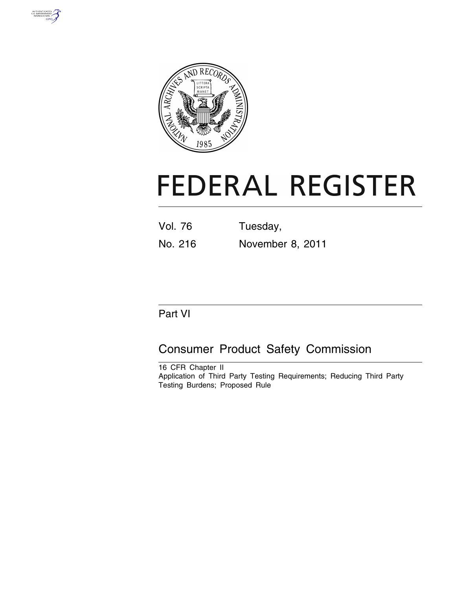



# **FEDERAL REGISTER**

Vol. 76 Tuesday, No. 216 November 8, 2011

# Part VI

# Consumer Product Safety Commission

16 CFR Chapter II Application of Third Party Testing Requirements; Reducing Third Party Testing Burdens; Proposed Rule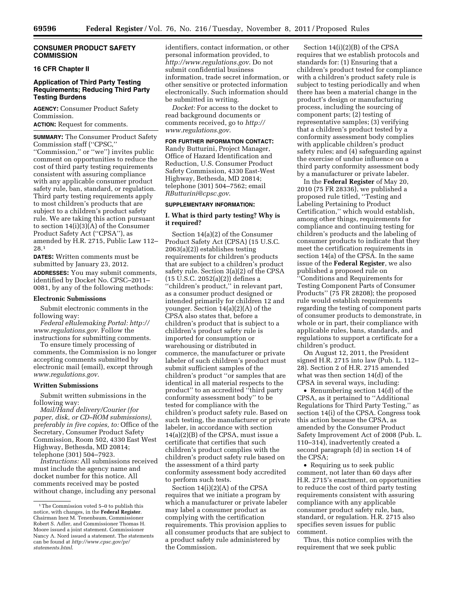# **CONSUMER PRODUCT SAFETY COMMISSION**

# **16 CFR Chapter II**

# **Application of Third Party Testing Requirements; Reducing Third Party Testing Burdens**

**AGENCY:** Consumer Product Safety Commission.

**ACTION:** Request for comments.

**SUMMARY:** The Consumer Product Safety Commission staff (''CPSC,'' ''Commission,'' or ''we'') invites public comment on opportunities to reduce the cost of third party testing requirements consistent with assuring compliance with any applicable consumer product safety rule, ban, standard, or regulation. Third party testing requirements apply to most children's products that are subject to a children's product safety rule. We are taking this action pursuant to section 14(i)(3)(A) of the Consumer Product Safety Act (''CPSA''), as amended by H.R. 2715, Public Law 112– 28.1

**DATES:** Written comments must be submitted by January 23, 2012. **ADDRESSES:** You may submit comments, identified by Docket No. CPSC–2011– 0081, by any of the following methods:

#### **Electronic Submissions**

Submit electronic comments in the following way:

*Federal eRulemaking Portal: [http://](http://www.regulations.gov)  [www.regulations.gov.](http://www.regulations.gov)* Follow the instructions for submitting comments.

To ensure timely processing of comments, the Commission is no longer accepting comments submitted by electronic mail (email), except through *[www.regulations.gov](http://www.regulations.gov)*.

#### **Written Submissions**

Submit written submissions in the following way:

*Mail/Hand delivery/Courier (for paper, disk, or CD–ROM submissions), preferably in five copies, to:* Office of the Secretary, Consumer Product Safety Commission, Room 502, 4330 East West Highway, Bethesda, MD 20814; telephone (301) 504–7923.

*Instructions:* All submissions received must include the agency name and docket number for this notice. All comments received may be posted without change, including any personal

identifiers, contact information, or other personal information provided, to *<http://www.regulations.gov>*. Do not submit confidential business information, trade secret information, or other sensitive or protected information electronically. Such information should be submitted in writing.

*Docket:* For access to the docket to read background documents or comments received, go to *[http://](http://www.regulations.gov)  [www.regulations.gov](http://www.regulations.gov)*.

## **FOR FURTHER INFORMATION CONTACT:**

Randy Butturini, Project Manager, Office of Hazard Identification and Reduction, U.S. Consumer Product Safety Commission, 4330 East-West Highway, Bethesda, MD 20814; telephone (301) 504–7562; email *[RButturini@cpsc.gov](mailto:RButturini@cpsc.gov)*.

#### **SUPPLEMENTARY INFORMATION:**

# **I. What is third party testing? Why is it required?**

Section 14(a)(2) of the Consumer Product Safety Act (CPSA) (15 U.S.C. 2063(a)(2)) establishes testing requirements for children's products that are subject to a children's product safety rule. Section 3(a)(2) of the CPSA (15 U.S.C. 2052(a)(2)) defines a ''children's product,'' in relevant part, as a consumer product designed or intended primarily for children 12 and younger. Section 14(a)(2)(A) of the CPSA also states that, before a children's product that is subject to a children's product safety rule is imported for consumption or warehousing or distributed in commerce, the manufacturer or private labeler of such children's product must submit sufficient samples of the children's product ''or samples that are identical in all material respects to the product'' to an accredited ''third party conformity assessment body'' to be tested for compliance with the children's product safety rule. Based on such testing, the manufacturer or private labeler, in accordance with section 14(a)(2)(B) of the CPSA, must issue a certificate that certifies that such children's product complies with the children's product safety rule based on the assessment of a third party conformity assessment body accredited to perform such tests.

Section 14(i)(2)(A) of the CPSA requires that we initiate a program by which a manufacturer or private labeler may label a consumer product as complying with the certification requirements. This provision applies to all consumer products that are subject to a product safety rule administered by the Commission.

Section 14(i)(2)(B) of the CPSA requires that we establish protocols and standards for: (1) Ensuring that a children's product tested for compliance with a children's product safety rule is subject to testing periodically and when there has been a material change in the product's design or manufacturing process, including the sourcing of component parts; (2) testing of representative samples; (3) verifying that a children's product tested by a conformity assessment body complies with applicable children's product safety rules; and (4) safeguarding against the exercise of undue influence on a third party conformity assessment body by a manufacturer or private labeler.

In the **Federal Register** of May 20, 2010 (75 FR 28336), we published a proposed rule titled, ''Testing and Labeling Pertaining to Product Certification,'' which would establish, among other things, requirements for compliance and continuing testing for children's products and the labeling of consumer products to indicate that they meet the certification requirements in section 14(a) of the CPSA. In the same issue of the **Federal Register**, we also published a proposed rule on ''Conditions and Requirements for Testing Component Parts of Consumer Products'' (75 FR 28208); the proposed rule would establish requirements regarding the testing of component parts of consumer products to demonstrate, in whole or in part, their compliance with applicable rules, bans, standards, and regulations to support a certificate for a children's product.

On August 12, 2011, the President signed H.R. 2715 into law (Pub. L. 112– 28). Section 2 of H.R. 2715 amended what was then section 14(d) of the CPSA in several ways, including:

• Renumbering section 14(d) of the CPSA, as it pertained to ''Additional Regulations for Third Party Testing,'' as section 14(i) of the CPSA. Congress took this action because the CPSA, as amended by the Consumer Product Safety Improvement Act of 2008 (Pub. L. 110–314), inadvertently created a second paragraph (d) in section 14 of the CPSA;

• Requiring us to seek public comment, not later than 60 days after H.R. 2715's enactment, on opportunities to reduce the cost of third party testing requirements consistent with assuring compliance with any applicable consumer product safety rule, ban, standard, or regulation. H.R. 2715 also specifies seven issues for public comment.

Thus, this notice complies with the requirement that we seek public

<sup>1</sup>The Commission voted 5–0 to publish this notice, with changes, in the **Federal Register**. Chairman Inez M. Tenenbaum, Commissioner Robert S. Adler, and Commissioner Thomas H. Moore issued a joint statement. Commissioner Nancy A. Nord issued a statement. The statements can be found at *[http://www.cpsc.gov/pr/](http://www.cpsc.gov/pr/statements.html)  [statements.html](http://www.cpsc.gov/pr/statements.html)*.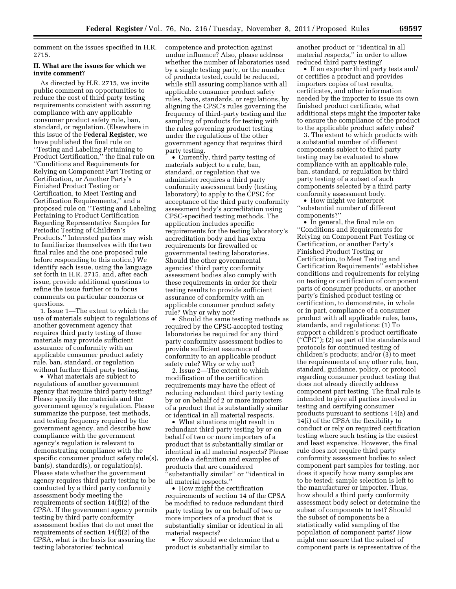comment on the issues specified in H.R. 2715.

## **II. What are the issues for which we invite comment?**

As directed by H.R. 2715, we invite public comment on opportunities to reduce the cost of third party testing requirements consistent with assuring compliance with any applicable consumer product safety rule, ban, standard, or regulation. (Elsewhere in this issue of the **Federal Register**, we have published the final rule on ''Testing and Labeling Pertaining to Product Certification,'' the final rule on ''Conditions and Requirements for Relying on Component Part Testing or Certification, or Another Party's Finished Product Testing or Certification, to Meet Testing and Certification Requirements,'' and a proposed rule on ''Testing and Labeling Pertaining to Product Certification Regarding Representative Samples for Periodic Testing of Children's Products.'' Interested parties may wish to familiarize themselves with the two final rules and the one proposed rule before responding to this notice.) We identify each issue, using the language set forth in H.R. 2715, and, after each issue, provide additional questions to refine the issue further or to focus comments on particular concerns or questions.

1. Issue 1—The extent to which the use of materials subject to regulations of another government agency that requires third party testing of those materials may provide sufficient assurance of conformity with an applicable consumer product safety rule, ban, standard, or regulation without further third party testing.

• What materials are subject to regulations of another government agency that require third party testing? Please specify the materials and the government agency's regulation. Please summarize the purpose, test methods, and testing frequency required by the government agency, and describe how compliance with the government agency's regulation is relevant to demonstrating compliance with the specific consumer product safety rule(s), ban(s), standard(s), or regulation(s). Please state whether the government agency requires third party testing to be conducted by a third party conformity assessment body meeting the requirements of section 14(f)(2) of the CPSA. If the government agency permits testing by third party conformity assessment bodies that do not meet the requirements of section 14(f)(2) of the CPSA, what is the basis for assuring the testing laboratories' technical

competence and protection against undue influence? Also, please address whether the number of laboratories used by a single testing party, or the number of products tested, could be reduced, while still assuring compliance with all applicable consumer product safety rules, bans, standards, or regulations, by aligning the CPSC's rules governing the frequency of third-party testing and the sampling of products for testing with the rules governing product testing under the regulations of the other government agency that requires third party testing.

• Currently, third party testing of materials subject to a rule, ban, standard, or regulation that we administer requires a third party conformity assessment body (testing laboratory) to apply to the CPSC for acceptance of the third party conformity assessment body's accreditation using CPSC-specified testing methods. The application includes specific requirements for the testing laboratory's accreditation body and has extra requirements for firewalled or governmental testing laboratories. Should the other governmental agencies' third party conformity assessment bodies also comply with these requirements in order for their testing results to provide sufficient assurance of conformity with an applicable consumer product safety rule? Why or why not?

• Should the same testing methods as required by the CPSC-accepted testing laboratories be required for any third party conformity assessment bodies to provide sufficient assurance of conformity to an applicable product safety rule? Why or why not?

2. Issue 2—The extent to which modification of the certification requirements may have the effect of reducing redundant third party testing by or on behalf of 2 or more importers of a product that is substantially similar or identical in all material respects.

• What situations might result in redundant third party testing by or on behalf of two or more importers of a product that is substantially similar or identical in all material respects? Please provide a definition and examples of products that are considered ''substantially similar'' or ''identical in all material respects.''

• How might the certification requirements of section 14 of the CPSA be modified to reduce redundant third party testing by or on behalf of two or more importers of a product that is substantially similar or identical in all material respects?

• How should we determine that a product is substantially similar to

another product or ''identical in all material respects,'' in order to allow reduced third party testing?

• If an exporter third party tests and/ or certifies a product and provides importers copies of test results, certificates, and other information needed by the importer to issue its own finished product certificate, what additional steps might the importer take to ensure the compliance of the product to the applicable product safety rules?

3. The extent to which products with a substantial number of different components subject to third party testing may be evaluated to show compliance with an applicable rule, ban, standard, or regulation by third party testing of a subset of such components selected by a third party conformity assessment body.

• How might we interpret ''substantial number of different components?''

• In general, the final rule on ''Conditions and Requirements for Relying on Component Part Testing or Certification, or another Party's Finished Product Testing or Certification, to Meet Testing and Certification Requirements'' establishes conditions and requirements for relying on testing or certification of component parts of consumer products, or another party's finished product testing or certification, to demonstrate, in whole or in part, compliance of a consumer product with all applicable rules, bans, standards, and regulations: (1) To support a children's product certificate (''CPC''); (2) as part of the standards and protocols for continued testing of children's products; and/or (3) to meet the requirements of any other rule, ban, standard, guidance, policy, or protocol regarding consumer product testing that does not already directly address component part testing. The final rule is intended to give all parties involved in testing and certifying consumer products pursuant to sections 14(a) and 14(i) of the CPSA the flexibility to conduct or rely on required certification testing where such testing is the easiest and least expensive. However, the final rule does not require third party conformity assessment bodies to select component part samples for testing, nor does it specify how many samples are to be tested; sample selection is left to the manufacturer or importer. Thus, how should a third party conformity assessment body select or determine the subset of components to test? Should the subset of components be a statistically valid sampling of the population of component parts? How might one assure that the subset of component parts is representative of the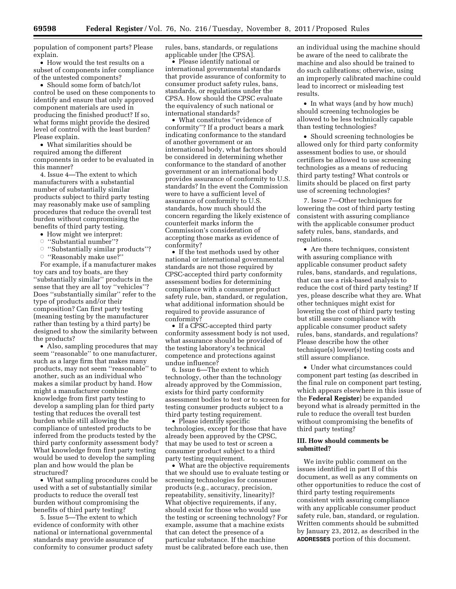population of component parts? Please explain.

• How would the test results on a subset of components infer compliance of the untested components?

• Should some form of batch/lot control be used on these components to identify and ensure that only approved component materials are used in producing the finished product? If so, what forms might provide the desired level of control with the least burden? Please explain.

• What similarities should be required among the different components in order to be evaluated in this manner?

4. Issue 4—The extent to which manufacturers with a substantial number of substantially similar products subject to third party testing may reasonably make use of sampling procedures that reduce the overall test burden without compromising the benefits of third party testing.

- How might we interpret:
- Æ ''Substantial number''?
- $\circ$  "Substantially similar products"?
- $\circ$  "Reasonably make use?"

For example, if a manufacturer makes toy cars and toy boats, are they ''substantially similar'' products in the sense that they are all toy ''vehicles''? Does ''substantially similar'' refer to the type of products and/or their composition? Can first party testing (meaning testing by the manufacturer rather than testing by a third party) be designed to show the similarity between the products?

• Also, sampling procedures that may seem ''reasonable'' to one manufacturer, such as a large firm that makes many products, may not seem ''reasonable'' to another, such as an individual who makes a similar product by hand. How might a manufacturer combine knowledge from first party testing to develop a sampling plan for third party testing that reduces the overall test burden while still allowing the compliance of untested products to be inferred from the products tested by the third party conformity assessment body? What knowledge from first party testing would be used to develop the sampling plan and how would the plan be structured?

• What sampling procedures could be used with a set of substantially similar products to reduce the overall test burden without compromising the benefits of third party testing?

5. Issue 5—The extent to which evidence of conformity with other national or international governmental standards may provide assurance of conformity to consumer product safety rules, bans, standards, or regulations applicable under [the CPSA].

• Please identify national or international governmental standards that provide assurance of conformity to consumer product safety rules, bans, standards, or regulations under the CPSA. How should the CPSC evaluate the equivalency of such national or international standards?

• What constitutes ''evidence of conformity''? If a product bears a mark indicating conformance to the standard of another government or an international body, what factors should be considered in determining whether conformance to the standard of another government or an international body provides assurance of conformity to U.S. standards? In the event the Commission were to have a sufficient level of assurance of conformity to U.S. standards, how much should the concern regarding the likely existence of counterfeit marks inform the Commission's consideration of accepting those marks as evidence of conformity?

• If the test methods used by other national or international governmental standards are not those required by CPSC-accepted third party conformity assessment bodies for determining compliance with a consumer product safety rule, ban, standard, or regulation, what additional information should be required to provide assurance of conformity?

• If a CPSC-accepted third party conformity assessment body is not used, what assurance should be provided of the testing laboratory's technical competence and protections against undue influence?

6. Issue 6—The extent to which technology, other than the technology already approved by the Commission, exists for third party conformity assessment bodies to test or to screen for testing consumer products subject to a third party testing requirement.

• Please identify specific technologies, except for those that have already been approved by the CPSC, that may be used to test or screen a consumer product subject to a third party testing requirement.

• What are the objective requirements that we should use to evaluate testing or screening technologies for consumer products (e.g., accuracy, precision, repeatability, sensitivity, linearity)? What objective requirements, if any, should exist for those who would use the testing or screening technology? For example, assume that a machine exists that can detect the presence of a particular substance. If the machine must be calibrated before each use, then

an individual using the machine should be aware of the need to calibrate the machine and also should be trained to do such calibrations; otherwise, using an improperly calibrated machine could lead to incorrect or misleading test results.

• In what ways (and by how much) should screening technologies be allowed to be less technically capable than testing technologies?

• Should screening technologies be allowed only for third party conformity assessment bodies to use, or should certifiers be allowed to use screening technologies as a means of reducing third party testing? What controls or limits should be placed on first party use of screening technologies?

7. Issue 7—Other techniques for lowering the cost of third party testing consistent with assuring compliance with the applicable consumer product safety rules, bans, standards, and regulations.

• Are there techniques, consistent with assuring compliance with applicable consumer product safety rules, bans, standards, and regulations, that can use a risk-based analysis to reduce the cost of third party testing? If yes, please describe what they are. What other techniques might exist for lowering the cost of third party testing but still assure compliance with applicable consumer product safety rules, bans, standards, and regulations? Please describe how the other technique(s) lower(s) testing costs and still assure compliance.

• Under what circumstances could component part testing (as described in the final rule on component part testing, which appears elsewhere in this issue of the **Federal Register**) be expanded beyond what is already permitted in the rule to reduce the overall test burden without compromising the benefits of third party testing?

# **III. How should comments be submitted?**

We invite public comment on the issues identified in part II of this document, as well as any comments on other opportunities to reduce the cost of third party testing requirements consistent with assuring compliance with any applicable consumer product safety rule, ban, standard, or regulation. Written comments should be submitted by January 23, 2012, as described in the **ADDRESSES** portion of this document.